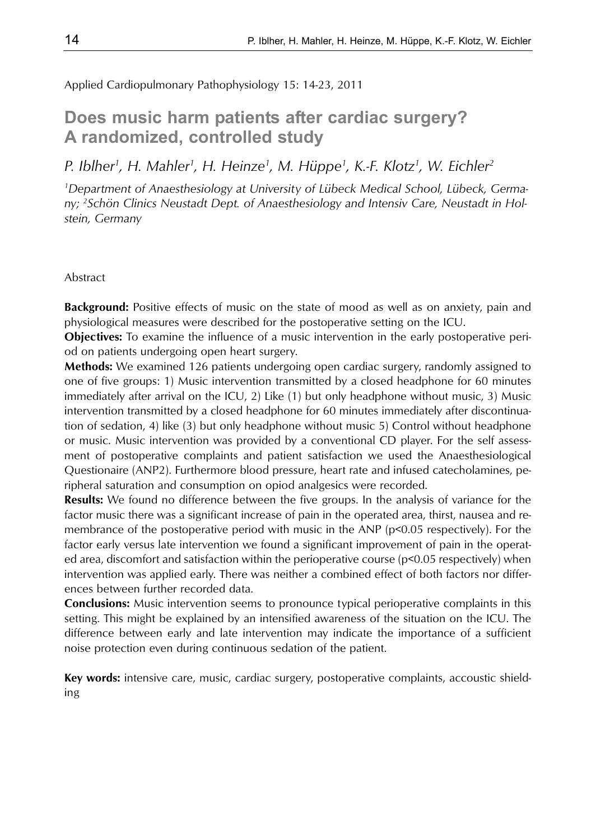Applied Cardiopulmonary Pathophysiology 15: 14-23, 2011

# **Does music harm patients after cardiac surgery? A randomized, controlled study**

*P. Iblher1 , H. Mahler1 , H. Heinze1 , M. Hüppe1 , K.-F. Klotz1 , W. Eichler2*

*1 Department of Anaesthesiology at University of Lübeck Medical School, Lübeck, Germany; 2 Schön Clinics Neustadt Dept. of Anaesthesiology and Intensiv Care, Neustadt in Holstein, Germany*

#### Abstract

**Background:** Positive effects of music on the state of mood as well as on anxiety, pain and physiological measures were described for the postoperative setting on the ICU.

**Objectives:** To examine the influence of a music intervention in the early postoperative period on patients undergoing open heart surgery.

**Methods:** We examined 126 patients undergoing open cardiac surgery, randomly assigned to one of five groups: 1) Music intervention transmitted by a closed headphone for 60 minutes immediately after arrival on the ICU, 2) Like (1) but only headphone without music, 3) Music intervention transmitted by a closed headphone for 60 minutes immediately after discontinuation of sedation, 4) like (3) but only headphone without music 5) Control without headphone or music. Music intervention was provided by a conventional CD player. For the self assessment of postoperative complaints and patient satisfaction we used the Anaesthesiological Questionaire (ANP2). Furthermore blood pressure, heart rate and infused catecholamines, peripheral saturation and consumption on opiod analgesics were recorded.

**Results:** We found no difference between the five groups. In the analysis of variance for the factor music there was a significant increase of pain in the operated area, thirst, nausea and remembrance of the postoperative period with music in the ANP (p<0.05 respectively). For the factor early versus late intervention we found a significant improvement of pain in the operated area, discomfort and satisfaction within the perioperative course ( $p<0.05$  respectively) when intervention was applied early. There was neither a combined effect of both factors nor differences between further recorded data.

**Conclusions:** Music intervention seems to pronounce typical perioperative complaints in this setting. This might be explained by an intensified awareness of the situation on the ICU. The difference between early and late intervention may indicate the importance of a sufficient noise protection even during continuous sedation of the patient.

**Key words:** intensive care, music, cardiac surgery, postoperative complaints, accoustic shielding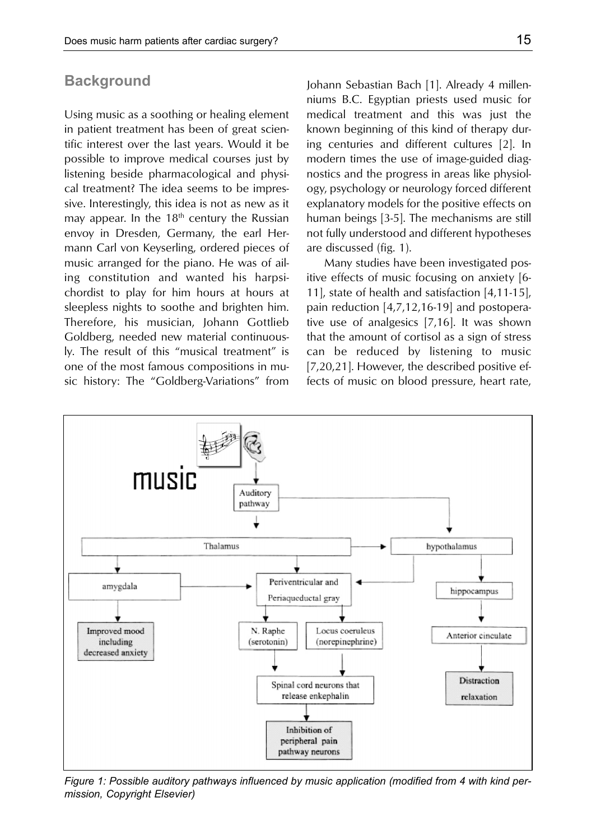## **Background**

Using music as a soothing or healing element in patient treatment has been of great scientific interest over the last years. Would it be possible to improve medical courses just by listening beside pharmacological and physical treatment? The idea seems to be impressive. Interestingly, this idea is not as new as it may appear. In the  $18<sup>th</sup>$  century the Russian envoy in Dresden, Germany, the earl Hermann Carl von Keyserling, ordered pieces of music arranged for the piano. He was of ailing constitution and wanted his harpsichordist to play for him hours at hours at sleepless nights to soothe and brighten him. Therefore, his musician, Johann Gottlieb Goldberg, needed new material continuously. The result of this "musical treatment" is one of the most famous compositions in music history: The "Goldberg-Variations" from

Johann Sebastian Bach [1]. Already 4 millenniums B.C. Egyptian priests used music for medical treatment and this was just the known beginning of this kind of therapy during centuries and different cultures [2]. In modern times the use of image-guided diagnostics and the progress in areas like physiology, psychology or neurology forced different explanatory models for the positive effects on human beings [3-5]. The mechanisms are still not fully understood and different hypotheses are discussed (fig. 1).

Many studies have been investigated positive effects of music focusing on anxiety [6- 11], state of health and satisfaction [4,11-15], pain reduction [4,7,12,16-19] and postoperative use of analgesics [7,16]. It was shown that the amount of cortisol as a sign of stress can be reduced by listening to music [7,20,21]. However, the described positive effects of music on blood pressure, heart rate,



*Figure 1: Possible auditory pathways influenced by music application (modified from 4 with kind permission, Copyright Elsevier)*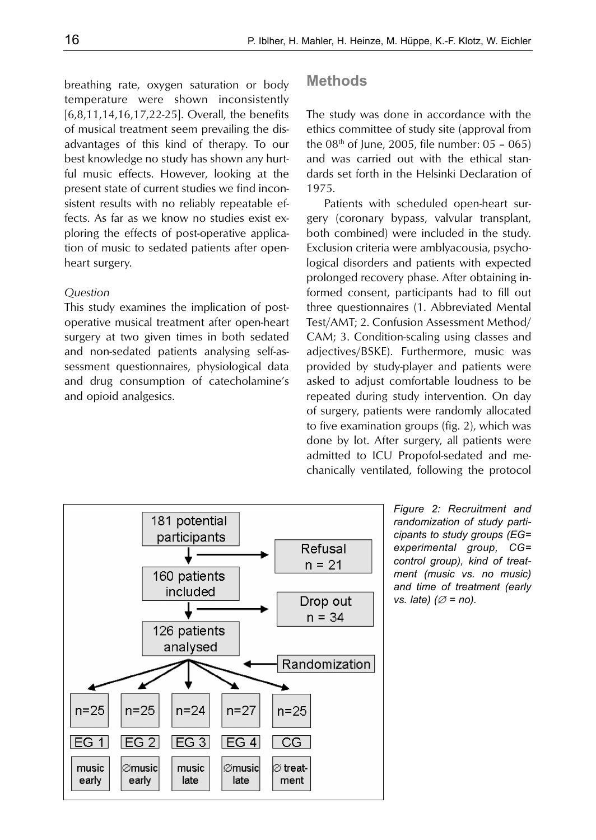breathing rate, oxygen saturation or body temperature were shown inconsistently [6,8,11,14,16,17,22-25]. Overall, the benefits of musical treatment seem prevailing the disadvantages of this kind of therapy. To our best knowledge no study has shown any hurtful music effects. However, looking at the present state of current studies we find inconsistent results with no reliably repeatable effects. As far as we know no studies exist exploring the effects of post-operative application of music to sedated patients after openheart surgery.

#### *Question*

This study examines the implication of postoperative musical treatment after open-heart surgery at two given times in both sedated and non-sedated patients analysing self-assessment questionnaires, physiological data and drug consumption of catecholamine's and opioid analgesics.

## **Methods**

The study was done in accordance with the ethics committee of study site (approval from the  $08<sup>th</sup>$  of June, 2005, file number:  $05 - 065$ ) and was carried out with the ethical standards set forth in the Helsinki Declaration of 1975.

Patients with scheduled open-heart surgery (coronary bypass, valvular transplant, both combined) were included in the study. Exclusion criteria were amblyacousia, psychological disorders and patients with expected prolonged recovery phase. After obtaining informed consent, participants had to fill out three questionnaires (1. Abbreviated Mental Test/AMT; 2. Confusion Assessment Method/ CAM; 3. Condition-scaling using classes and adjectives/BSKE). Furthermore, music was provided by study-player and patients were asked to adjust comfortable loudness to be repeated during study intervention. On day of surgery, patients were randomly allocated to five examination groups (fig. 2), which was done by lot. After surgery, all patients were admitted to ICU Propofol-sedated and mechanically ventilated, following the protocol



*Figure 2: Recruitment and randomization of study participants to study groups (EG= experimental group, CG= control group), kind of treatment (music vs. no music) and time of treatment (early vs. late)* (∅ = no).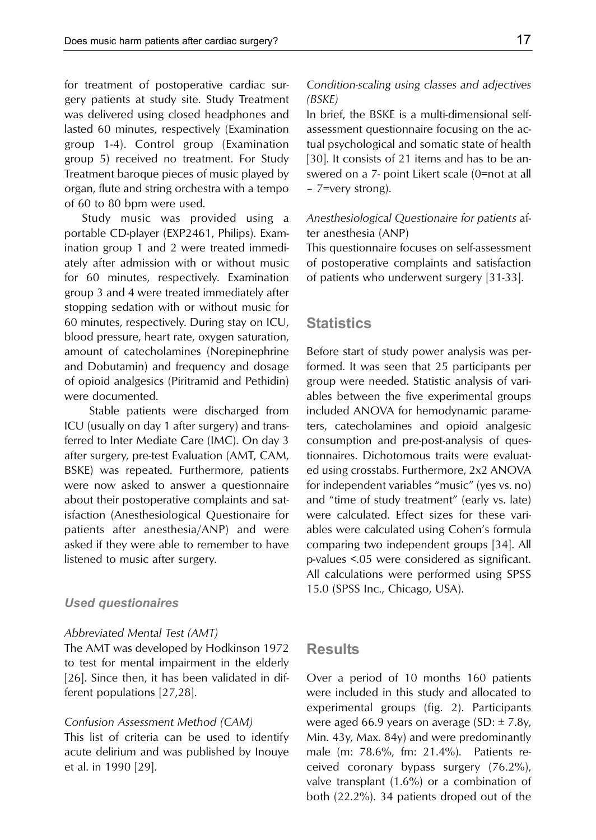for treatment of postoperative cardiac surgery patients at study site. Study Treatment was delivered using closed headphones and lasted 60 minutes, respectively (Examination group 1-4). Control group (Examination group 5) received no treatment. For Study Treatment baroque pieces of music played by organ, flute and string orchestra with a tempo of 60 to 80 bpm were used.

Study music was provided using a portable CD-player (EXP2461, Philips). Examination group 1 and 2 were treated immediately after admission with or without music for 60 minutes, respectively. Examination group 3 and 4 were treated immediately after stopping sedation with or without music for 60 minutes, respectively. During stay on ICU, blood pressure, heart rate, oxygen saturation, amount of catecholamines (Norepinephrine and Dobutamin) and frequency and dosage of opioid analgesics (Piritramid and Pethidin) were documented.

Stable patients were discharged from ICU (usually on day 1 after surgery) and transferred to Inter Mediate Care (IMC). On day 3 after surgery, pre-test Evaluation (AMT, CAM, BSKE) was repeated. Furthermore, patients were now asked to answer a questionnaire about their postoperative complaints and satisfaction (Anesthesiological Questionaire for patients after anesthesia/ANP) and were asked if they were able to remember to have listened to music after surgery.

## *Used questionaires*

#### *Abbreviated Mental Test (AMT)*

The AMT was developed by Hodkinson 1972 to test for mental impairment in the elderly [26]. Since then, it has been validated in different populations [27,28].

#### *Confusion Assessment Method (CAM)*

This list of criteria can be used to identify acute delirium and was published by Inouye et al. in 1990 [29].

## *Condition-scaling using classes and adjectives (BSKE)*

In brief, the BSKE is a multi-dimensional selfassessment questionnaire focusing on the actual psychological and somatic state of health [30]. It consists of 21 items and has to be answered on a 7- point Likert scale (0=not at all – 7=very strong).

## *Anesthesiological Questionaire for patients* after anesthesia (ANP)

This questionnaire focuses on self-assessment of postoperative complaints and satisfaction of patients who underwent surgery [31-33].

## **Statistics**

Before start of study power analysis was performed. It was seen that 25 participants per group were needed. Statistic analysis of variables between the five experimental groups included ANOVA for hemodynamic parameters, catecholamines and opioid analgesic consumption and pre-post-analysis of questionnaires. Dichotomous traits were evaluated using crosstabs. Furthermore, 2x2 ANOVA for independent variables "music" (yes vs. no) and "time of study treatment" (early vs. late) were calculated. Effect sizes for these variables were calculated using Cohen's formula comparing two independent groups [34]. All p-values <.05 were considered as significant. All calculations were performed using SPSS 15.0 (SPSS Inc., Chicago, USA).

## **Results**

Over a period of 10 months 160 patients were included in this study and allocated to experimental groups (fig. 2). Participants were aged 66.9 years on average (SD: ± 7.8y, Min. 43y, Max. 84y) and were predominantly male (m: 78.6%, fm: 21.4%). Patients received coronary bypass surgery (76.2%), valve transplant (1.6%) or a combination of both (22.2%). 34 patients droped out of the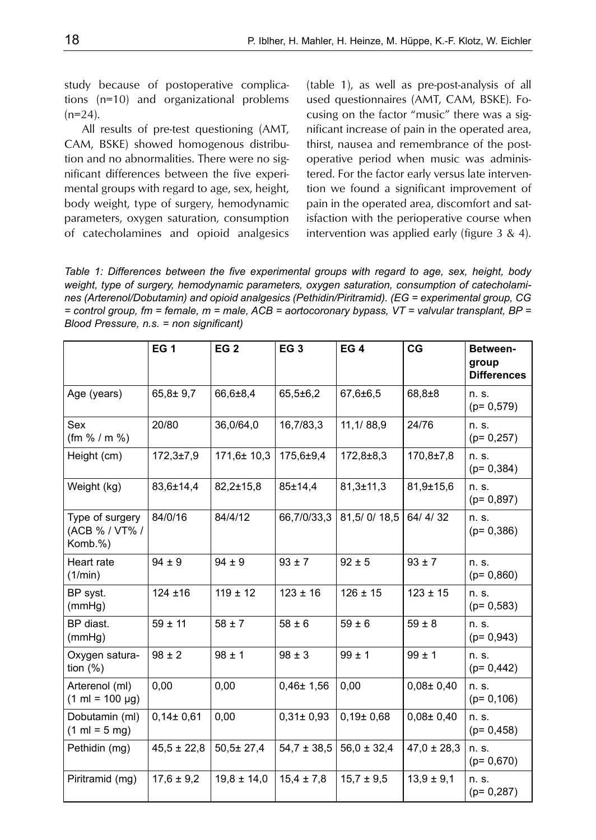study because of postoperative complications (n=10) and organizational problems  $(n=24)$ .

All results of pre-test questioning (AMT, CAM, BSKE) showed homogenous distribution and no abnormalities. There were no significant differences between the five experimental groups with regard to age, sex, height, body weight, type of surgery, hemodynamic parameters, oxygen saturation, consumption of catecholamines and opioid analgesics (table 1), as well as pre-post-analysis of all used questionnaires (AMT, CAM, BSKE). Focusing on the factor "music" there was a significant increase of pain in the operated area, thirst, nausea and remembrance of the postoperative period when music was administered. For the factor early versus late intervention we found a significant improvement of pain in the operated area, discomfort and satisfaction with the perioperative course when intervention was applied early (figure 3 & 4).

*Table 1: Differences between the five experimental groups with regard to age, sex, height, body weight, type of surgery, hemodynamic parameters, oxygen saturation, consumption of catecholamines (Arterenol/Dobutamin) and opioid analgesics (Pethidin/Piritramid). (EG = experimental group, CG = control group, fm = female, m = male, ACB = aortocoronary bypass, VT = valvular transplant, BP = Blood Pressure, n.s. = non significant)*

|                                                     | <b>EG1</b>      | EG <sub>2</sub>  | EG <sub>3</sub> | <b>EG4</b>      | CG              | Between-<br>group<br><b>Differences</b> |
|-----------------------------------------------------|-----------------|------------------|-----------------|-----------------|-----------------|-----------------------------------------|
| Age (years)                                         | $65.8 \pm 9.7$  | 66,6±8,4         | $65,5\pm 6,2$   | $67.6 \pm 6.5$  | $68.8 + 8$      | n. s.<br>$(p= 0.579)$                   |
| Sex<br>(fm % / m %)                                 | 20/80           | 36,0/64,0        | 16,7/83,3       | 11,1/88,9       | 24/76           | n. s.<br>$(p= 0, 257)$                  |
| Height (cm)                                         | $172,3 \pm 7,9$ | $171.6 \pm 10.3$ | 175,6±9.4       | $172,8 \pm 8.3$ | $170.8 \pm 7.8$ | n. s.<br>$(p= 0, 384)$                  |
| Weight (kg)                                         | 83,6±14,4       | $82,2 \pm 15.8$  | 85±14,4         | $81.3 \pm 11.3$ | $81.9 \pm 15.6$ | n. s.<br>$(p= 0.897)$                   |
| Type of surgery<br>(ACB % / VT% /<br>Komb.%)        | 84/0/16         | 84/4/12          | 66,7/0/33,3     | 81,5/0/18,5     | 64/4/32         | n. s.<br>$(p= 0, 386)$                  |
| Heart rate<br>(1/min)                               | $94 \pm 9$      | $94 \pm 9$       | $93 \pm 7$      | $92 \pm 5$      | $93 \pm 7$      | n. s.<br>$(p= 0, 860)$                  |
| BP syst.<br>(mmHg)                                  | $124 + 16$      | $119 \pm 12$     | $123 \pm 16$    | $126 \pm 15$    | $123 \pm 15$    | n. s.<br>$(p= 0.583)$                   |
| BP diast.<br>(mmHg)                                 | $59 \pm 11$     | $58 \pm 7$       | $58 \pm 6$      | $59 \pm 6$      | $59 \pm 8$      | n. s.<br>$(p= 0.943)$                   |
| Oxygen satura-<br>tion $(\%)$                       | $98 \pm 2$      | $98 \pm 1$       | $98 \pm 3$      | $99 \pm 1$      | $99 \pm 1$      | n. s.<br>$(p= 0, 442)$                  |
| Arterenol (ml)<br>$(1 \text{ ml} = 100 \text{ µg})$ | 0,00            | 0,00             | $0,46 \pm 1,56$ | 0,00            | $0.08 \pm 0.40$ | n. s.<br>$(p= 0, 106)$                  |
| Dobutamin (ml)<br>$(1 \text{ ml} = 5 \text{ mg})$   | $0,14\pm 0,61$  | 0,00             | $0,31 \pm 0,93$ | $0,19\pm 0,68$  | $0,08 \pm 0,40$ | n. s.<br>$(p= 0, 458)$                  |
| Pethidin (mg)                                       | $45,5 \pm 22,8$ | $50.5 \pm 27.4$  | $54.7 \pm 38.5$ | $56.0 \pm 32.4$ | $47.0 \pm 28.3$ | n. s.<br>$(p= 0.670)$                   |
| Piritramid (mg)                                     | $17,6 \pm 9,2$  | $19.8 \pm 14.0$  | $15,4 \pm 7,8$  | $15.7 \pm 9.5$  | $13.9 \pm 9.1$  | n. s.<br>$(p= 0, 287)$                  |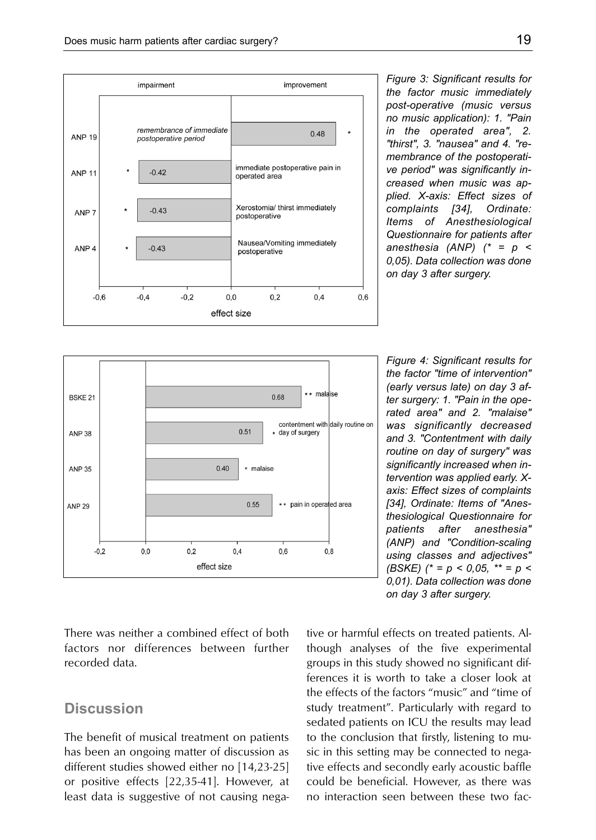

*Figure 3: Significant results for the factor music immediately post-operative (music versus no music application): 1. "Pain in the operated area", 2. "thirst", 3. "nausea" and 4. "remembrance of the postoperative period" was significantly increased when music was applied. X-axis: Effect sizes of complaints [34], Ordinate: Items of Anesthesiological Questionnaire for patients after anesthesia (ANP) (\* = p < 0,05). Data collection was done on day 3 after surgery.* 



*Figure 4: Significant results for the factor "time of intervention" (early versus late) on day 3 after surgery: 1. "Pain in the operated area" and 2. "malaise" was significantly decreased and 3. "Contentment with daily routine on day of surgery" was significantly increased when intervention was applied early. Xaxis: Effect sizes of complaints [34], Ordinate: Items of "Anesthesiological Questionnaire for patients after anesthesia" (ANP) and "Condition-scaling using classes and adjectives" (BSKE) (\* = p < 0,05, \*\* = p < 0,01). Data collection was done on day 3 after surgery.*

There was neither a combined effect of both factors nor differences between further recorded data.

# **Discussion**

The benefit of musical treatment on patients has been an ongoing matter of discussion as different studies showed either no [14,23-25] or positive effects [22,35-41]. However, at least data is suggestive of not causing negative or harmful effects on treated patients. Although analyses of the five experimental groups in this study showed no significant differences it is worth to take a closer look at the effects of the factors "music" and "time of study treatment". Particularly with regard to sedated patients on ICU the results may lead to the conclusion that firstly, listening to music in this setting may be connected to negative effects and secondly early acoustic baffle could be beneficial. However, as there was no interaction seen between these two fac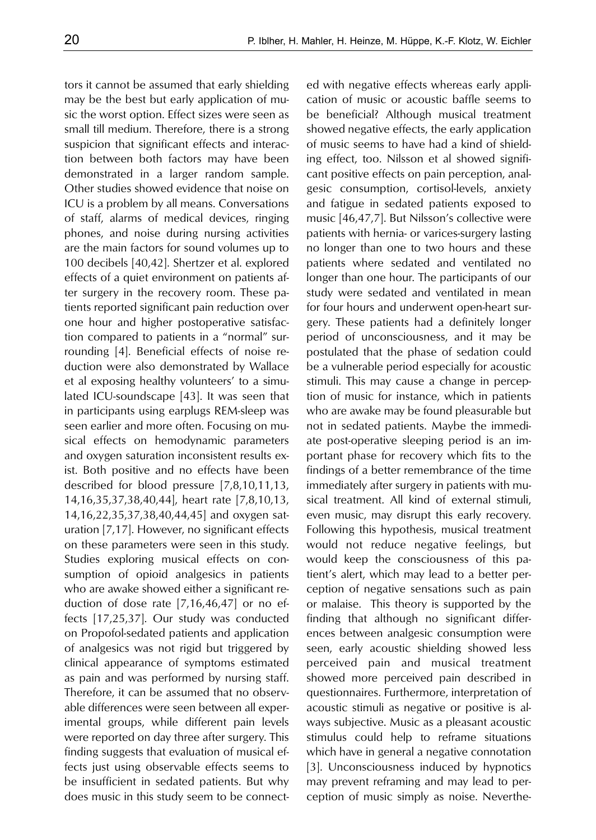tors it cannot be assumed that early shielding may be the best but early application of music the worst option. Effect sizes were seen as small till medium. Therefore, there is a strong suspicion that significant effects and interaction between both factors may have been demonstrated in a larger random sample. Other studies showed evidence that noise on ICU is a problem by all means. Conversations of staff, alarms of medical devices, ringing phones, and noise during nursing activities are the main factors for sound volumes up to 100 decibels [40,42]. Shertzer et al. explored effects of a quiet environment on patients after surgery in the recovery room. These patients reported significant pain reduction over one hour and higher postoperative satisfaction compared to patients in a "normal" surrounding [4]. Beneficial effects of noise reduction were also demonstrated by Wallace et al exposing healthy volunteers' to a simulated ICU-soundscape [43]. It was seen that in participants using earplugs REM-sleep was seen earlier and more often. Focusing on musical effects on hemodynamic parameters and oxygen saturation inconsistent results exist. Both positive and no effects have been described for blood pressure [7,8,10,11,13, 14,16,35,37,38,40,44], heart rate [7,8,10,13, 14,16,22,35,37,38,40,44,45] and oxygen saturation [7,17]. However, no significant effects on these parameters were seen in this study. Studies exploring musical effects on consumption of opioid analgesics in patients who are awake showed either a significant reduction of dose rate [7,16,46,47] or no effects [17,25,37]. Our study was conducted on Propofol-sedated patients and application of analgesics was not rigid but triggered by clinical appearance of symptoms estimated as pain and was performed by nursing staff. Therefore, it can be assumed that no observable differences were seen between all experimental groups, while different pain levels were reported on day three after surgery. This finding suggests that evaluation of musical effects just using observable effects seems to be insufficient in sedated patients. But why does music in this study seem to be connected with negative effects whereas early application of music or acoustic baffle seems to be beneficial? Although musical treatment showed negative effects, the early application of music seems to have had a kind of shielding effect, too. Nilsson et al showed significant positive effects on pain perception, analgesic consumption, cortisol-levels, anxiety and fatigue in sedated patients exposed to music [46,47,7]. But Nilsson's collective were patients with hernia- or varices-surgery lasting no longer than one to two hours and these patients where sedated and ventilated no longer than one hour. The participants of our study were sedated and ventilated in mean for four hours and underwent open-heart surgery. These patients had a definitely longer period of unconsciousness, and it may be postulated that the phase of sedation could be a vulnerable period especially for acoustic stimuli. This may cause a change in perception of music for instance, which in patients who are awake may be found pleasurable but not in sedated patients. Maybe the immediate post-operative sleeping period is an important phase for recovery which fits to the findings of a better remembrance of the time immediately after surgery in patients with musical treatment. All kind of external stimuli, even music, may disrupt this early recovery. Following this hypothesis, musical treatment would not reduce negative feelings, but would keep the consciousness of this patient's alert, which may lead to a better perception of negative sensations such as pain or malaise. This theory is supported by the finding that although no significant differences between analgesic consumption were seen, early acoustic shielding showed less perceived pain and musical treatment showed more perceived pain described in questionnaires. Furthermore, interpretation of acoustic stimuli as negative or positive is always subjective. Music as a pleasant acoustic stimulus could help to reframe situations which have in general a negative connotation [3]. Unconsciousness induced by hypnotics may prevent reframing and may lead to perception of music simply as noise. Neverthe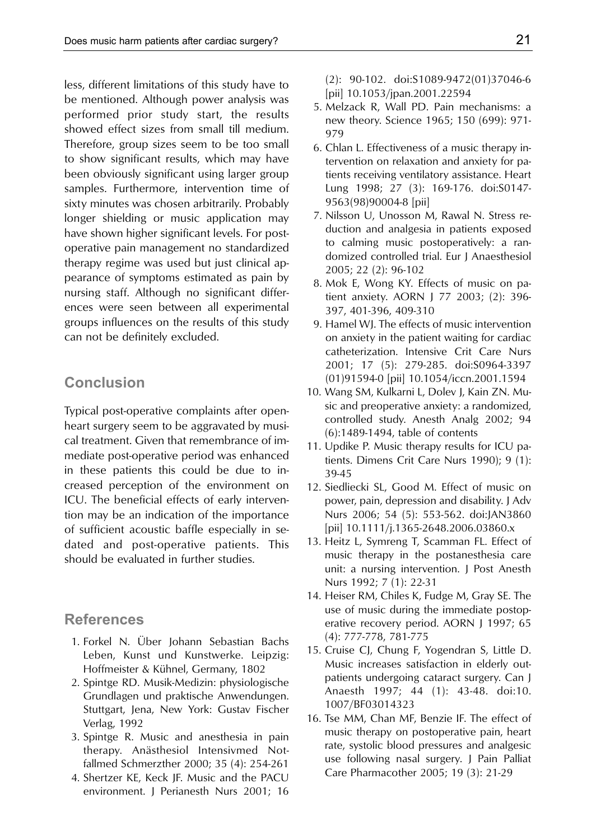less, different limitations of this study have to be mentioned. Although power analysis was performed prior study start, the results showed effect sizes from small till medium. Therefore, group sizes seem to be too small to show significant results, which may have been obviously significant using larger group samples. Furthermore, intervention time of sixty minutes was chosen arbitrarily. Probably longer shielding or music application may have shown higher significant levels. For postoperative pain management no standardized therapy regime was used but just clinical appearance of symptoms estimated as pain by nursing staff. Although no significant differences were seen between all experimental groups influences on the results of this study can not be definitely excluded.

# **Conclusion**

Typical post-operative complaints after openheart surgery seem to be aggravated by musical treatment. Given that remembrance of immediate post-operative period was enhanced in these patients this could be due to increased perception of the environment on ICU. The beneficial effects of early intervention may be an indication of the importance of sufficient acoustic baffle especially in sedated and post-operative patients. This should be evaluated in further studies.

# **References**

- 1. Forkel N. Über Johann Sebastian Bachs Leben, Kunst und Kunstwerke. Leipzig: Hoffmeister & Kühnel, Germany, 1802
- 2. Spintge RD. Musik-Medizin: physiologische Grundlagen und praktische Anwendungen. Stuttgart, Jena, New York: Gustav Fischer Verlag, 1992
- 3. Spintge R. Music and anesthesia in pain therapy. Anästhesiol Intensivmed Notfallmed Schmerzther 2000; 35 (4): 254-261
- 4. Shertzer KE, Keck JF. Music and the PACU environment. J Perianesth Nurs 2001; 16

(2): 90-102. doi:S1089-9472(01)37046-6 [pii] 10.1053/jpan.2001.22594

- 5. Melzack R, Wall PD. Pain mechanisms: a new theory. Science 1965; 150 (699): 971- 979
- 6. Chlan L. Effectiveness of a music therapy intervention on relaxation and anxiety for patients receiving ventilatory assistance. Heart Lung 1998; 27 (3): 169-176. doi:S0147- 9563(98)90004-8 [pii]
- 7. Nilsson U, Unosson M, Rawal N. Stress reduction and analgesia in patients exposed to calming music postoperatively: a randomized controlled trial. Eur J Anaesthesiol 2005; 22 (2): 96-102
- 8. Mok E, Wong KY. Effects of music on patient anxiety. AORN J 77 2003; (2): 396- 397, 401-396, 409-310
- 9. Hamel WJ. The effects of music intervention on anxiety in the patient waiting for cardiac catheterization. Intensive Crit Care Nurs 2001; 17 (5): 279-285. doi:S0964-3397 (01)91594-0 [pii] 10.1054/iccn.2001.1594
- 10. Wang SM, Kulkarni L, Dolev J, Kain ZN. Music and preoperative anxiety: a randomized, controlled study. Anesth Analg 2002; 94 (6):1489-1494, table of contents
- 11. Updike P. Music therapy results for ICU patients. Dimens Crit Care Nurs 1990); 9 (1): 39-45
- 12. Siedliecki SL, Good M. Effect of music on power, pain, depression and disability. J Adv Nurs 2006; 54 (5): 553-562. doi:JAN3860 [pii] 10.1111/j.1365-2648.2006.03860.x
- 13. Heitz L, Symreng T, Scamman FL. Effect of music therapy in the postanesthesia care unit: a nursing intervention. J Post Anesth Nurs 1992; 7 (1): 22-31
- 14. Heiser RM, Chiles K, Fudge M, Gray SE. The use of music during the immediate postoperative recovery period. AORN J 1997; 65 (4): 777-778, 781-775
- 15. Cruise CJ, Chung F, Yogendran S, Little D. Music increases satisfaction in elderly outpatients undergoing cataract surgery. Can J Anaesth 1997; 44 (1): 43-48. doi:10. 1007/BF03014323
- 16. Tse MM, Chan MF, Benzie IF. The effect of music therapy on postoperative pain, heart rate, systolic blood pressures and analgesic use following nasal surgery. J Pain Palliat Care Pharmacother 2005; 19 (3): 21-29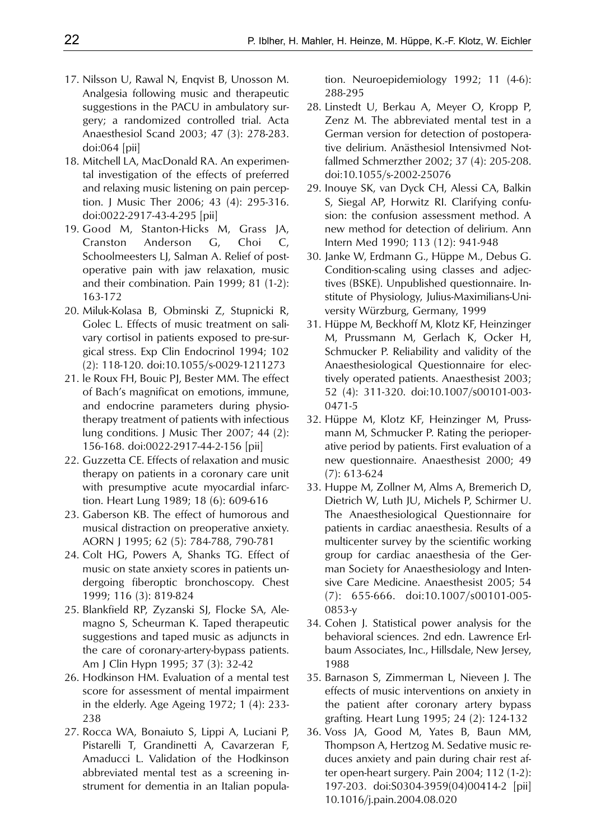- 17. Nilsson U, Rawal N, Enqvist B, Unosson M. Analgesia following music and therapeutic suggestions in the PACU in ambulatory surgery; a randomized controlled trial. Acta Anaesthesiol Scand 2003; 47 (3): 278-283. doi:064 [pii]
- 18. Mitchell LA, MacDonald RA. An experimental investigation of the effects of preferred and relaxing music listening on pain perception. J Music Ther 2006; 43 (4): 295-316. doi:0022-2917-43-4-295 [pii]
- 19. Good M, Stanton-Hicks M, Grass JA, Cranston Anderson G, Choi C, Schoolmeesters LJ, Salman A. Relief of postoperative pain with jaw relaxation, music and their combination. Pain 1999; 81 (1-2): 163-172
- 20. Miluk-Kolasa B, Obminski Z, Stupnicki R, Golec L. Effects of music treatment on salivary cortisol in patients exposed to pre-surgical stress. Exp Clin Endocrinol 1994; 102 (2): 118-120. doi:10.1055/s-0029-1211273
- 21. le Roux FH, Bouic PJ, Bester MM. The effect of Bach's magnificat on emotions, immune, and endocrine parameters during physiotherapy treatment of patients with infectious lung conditions. J Music Ther 2007; 44 (2): 156-168. doi:0022-2917-44-2-156 [pii]
- 22. Guzzetta CE. Effects of relaxation and music therapy on patients in a coronary care unit with presumptive acute myocardial infarction. Heart Lung 1989; 18 (6): 609-616
- 23. Gaberson KB. The effect of humorous and musical distraction on preoperative anxiety. AORN J 1995; 62 (5): 784-788, 790-781
- 24. Colt HG, Powers A, Shanks TG. Effect of music on state anxiety scores in patients undergoing fiberoptic bronchoscopy. Chest 1999; 116 (3): 819-824
- 25. Blankfield RP, Zyzanski SJ, Flocke SA, Alemagno S, Scheurman K. Taped therapeutic suggestions and taped music as adjuncts in the care of coronary-artery-bypass patients. Am J Clin Hypn 1995; 37 (3): 32-42
- 26. Hodkinson HM. Evaluation of a mental test score for assessment of mental impairment in the elderly. Age Ageing 1972; 1 (4): 233- 238
- 27. Rocca WA, Bonaiuto S, Lippi A, Luciani P, Pistarelli T, Grandinetti A, Cavarzeran F, Amaducci L. Validation of the Hodkinson abbreviated mental test as a screening instrument for dementia in an Italian popula-

tion. Neuroepidemiology 1992; 11 (4-6): 288-295

- 28. Linstedt U, Berkau A, Meyer O, Kropp P, Zenz M. The abbreviated mental test in a German version for detection of postoperative delirium. Anästhesiol Intensivmed Notfallmed Schmerzther 2002; 37 (4): 205-208. doi:10.1055/s-2002-25076
- 29. Inouye SK, van Dyck CH, Alessi CA, Balkin S, Siegal AP, Horwitz RI. Clarifying confusion: the confusion assessment method. A new method for detection of delirium. Ann Intern Med 1990; 113 (12): 941-948
- 30. Janke W, Erdmann G., Hüppe M., Debus G. Condition-scaling using classes and adjectives (BSKE). Unpublished questionnaire. Institute of Physiology, Julius-Maximilians-University Würzburg, Germany, 1999
- 31. Hüppe M, Beckhoff M, Klotz KF, Heinzinger M, Prussmann M, Gerlach K, Ocker H, Schmucker P. Reliability and validity of the Anaesthesiological Questionnaire for electively operated patients. Anaesthesist 2003; 52 (4): 311-320. doi:10.1007/s00101-003- 0471-5
- 32. Hüppe M, Klotz KF, Heinzinger M, Prussmann M, Schmucker P. Rating the perioperative period by patients. First evaluation of a new questionnaire. Anaesthesist 2000; 49 (7): 613-624
- 33. Huppe M, Zollner M, Alms A, Bremerich D, Dietrich W, Luth JU, Michels P, Schirmer U. The Anaesthesiological Questionnaire for patients in cardiac anaesthesia. Results of a multicenter survey by the scientific working group for cardiac anaesthesia of the German Society for Anaesthesiology and Intensive Care Medicine. Anaesthesist 2005; 54 (7): 655-666. doi:10.1007/s00101-005- 0853-y
- 34. Cohen J. Statistical power analysis for the behavioral sciences. 2nd edn. Lawrence Erlbaum Associates, Inc., Hillsdale, New Jersey, 1988
- 35. Barnason S, Zimmerman L, Nieveen J. The effects of music interventions on anxiety in the patient after coronary artery bypass grafting. Heart Lung 1995; 24 (2): 124-132
- 36. Voss JA, Good M, Yates B, Baun MM, Thompson A, Hertzog M. Sedative music reduces anxiety and pain during chair rest after open-heart surgery. Pain 2004; 112 (1-2): 197-203. doi:S0304-3959(04)00414-2 [pii] 10.1016/j.pain.2004.08.020